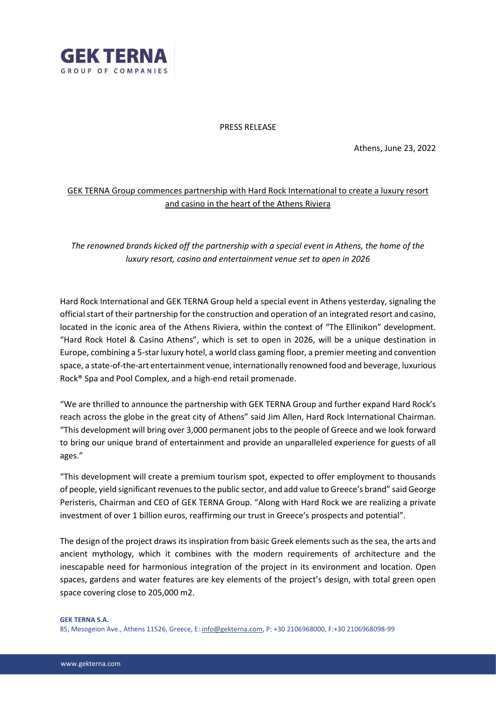

### PRESS RELEASE

Athens, June 23, 2022

# GEK TERNA Group commences partnership with Hard Rock International to create a luxury resort and casino in the heart of the Athens Riviera

## *The renowned brands kicked off the partnership with a special event in Athens, the home of the luxury resort, casino and entertainment venue set to open in 2026*

Hard Rock International and GEK TERNA Group held a special event in Athens yesterday, signaling the official start of their partnership for the construction and operation of an integrated resort and casino, located in the iconic area of the Athens Riviera, within the context of "The Ellinikon" development. "Hard Rock Hotel & Casino Athens", which is set to open in 2026, will be a unique destination in Europe, combining a 5-star luxury hotel, a world class gaming floor, a premier meeting and convention space, a state-of-the-art entertainment venue, internationally renowned food and beverage, luxurious Rock® Spa and Pool Complex, and a high-end retail promenade.

"We are thrilled to announce the partnership with GEK TERNA Group and further expand Hard Rock's reach across the globe in the great city of Athens" said Jim Allen, Hard Rock International Chairman. "This development will bring over 3,000 permanent jobs to the people of Greece and we look forward to bring our unique brand of entertainment and provide an unparalleled experience for guests of all ages."

"This development will create a premium tourism spot, expected to offer employment to thousands of people, yield significant revenues to the public sector, and add value to Greece's brand" said George Peristeris, Chairman and CEO of GEK TERNA Group. "Along with Hard Rock we are realizing a private investment of over 1 billion euros, reaffirming our trust in Greece's prospects and potential".

The design of the project draws its inspiration from basic Greek elements such as the sea, the arts and ancient mythology, which it combines with the modern requirements of architecture and the inescapable need for harmonious integration of the project in its environment and location. Open spaces, gardens and water features are key elements of the project's design, with total green open space covering close to 205,000 m2.

#### **GEK TERNA S.A.**

85, Mesogeion Ave., Athens 11526, Greece, E[: info@gekterna.com,](mailto:info@gekterna.com) P: +30 2106968000, F:+30 2106968098-99